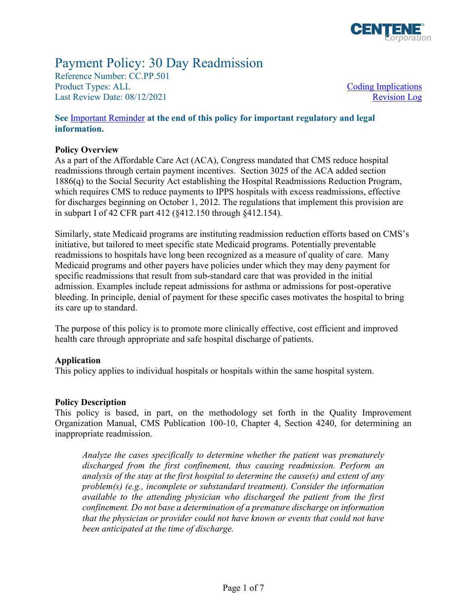

# Payment Policy: 30 Day Readmission

Reference Number: CC.PP.501 Product Types: ALL Last Review Date: 08/12/2021

Coding Implications [Revision Log](#page-4-0)

### **See** [Important Reminder](#page-4-0) **at the end of this policy for important regulatory and legal information.**

### **Policy Overview**

As a part of the Affordable Care Act (ACA), Congress mandated that CMS reduce hospital readmissions through certain payment incentives. Section 3025 of the ACA added section 1886(q) to the Social Security Act establishing the Hospital Readmissions Reduction Program, which requires CMS to reduce payments to IPPS hospitals with excess readmissions, effective for discharges beginning on October 1, 2012. The regulations that implement this provision are in subpart I of 42 CFR part 412 (§412.150 through §412.154).

Similarly, state Medicaid programs are instituting readmission reduction efforts based on CMS's initiative, but tailored to meet specific state Medicaid programs. Potentially preventable readmissions to hospitals have long been recognized as a measure of quality of care. Many Medicaid programs and other payers have policies under which they may deny payment for specific readmissions that result from sub-standard care that was provided in the initial admission. Examples include repeat admissions for asthma or admissions for post-operative bleeding. In principle, denial of payment for these specific cases motivates the hospital to bring its care up to standard.

The purpose of this policy is to promote more clinically effective, cost efficient and improved health care through appropriate and safe hospital discharge of patients.

### **Application**

This policy applies to individual hospitals or hospitals within the same hospital system.

### **Policy Description**

This policy is based, in part, on the methodology set forth in the Quality Improvement Organization Manual, CMS Publication 100-10, Chapter 4, Section 4240, for determining an inappropriate readmission.

*Analyze the cases specifically to determine whether the patient was prematurely discharged from the first confinement, thus causing readmission. Perform an analysis of the stay at the first hospital to determine the cause(s) and extent of any problem(s) (e.g., incomplete or substandard treatment). Consider the information available to the attending physician who discharged the patient from the first confinement. Do not base a determination of a premature discharge on information that the physician or provider could not have known or events that could not have been anticipated at the time of discharge.*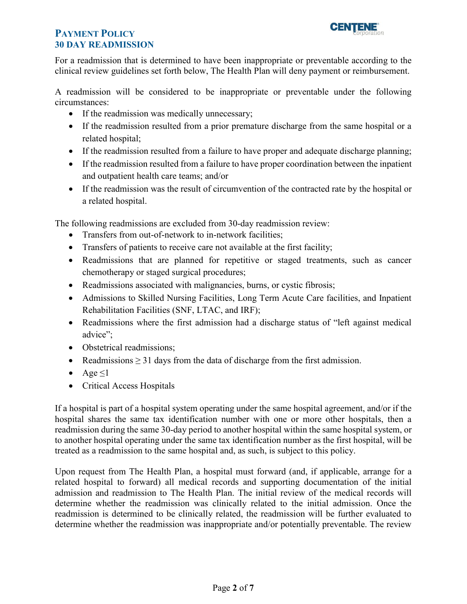

For a readmission that is determined to have been inappropriate or preventable according to the clinical review guidelines set forth below, The Health Plan will deny payment or reimbursement.

A readmission will be considered to be inappropriate or preventable under the following circumstances:

- If the readmission was medically unnecessary;
- If the readmission resulted from a prior premature discharge from the same hospital or a related hospital;
- If the readmission resulted from a failure to have proper and adequate discharge planning;
- If the readmission resulted from a failure to have proper coordination between the inpatient and outpatient health care teams; and/or
- If the readmission was the result of circumvention of the contracted rate by the hospital or a related hospital.

The following readmissions are excluded from 30-day readmission review:

- Transfers from out-of-network to in-network facilities;
- Transfers of patients to receive care not available at the first facility;
- Readmissions that are planned for repetitive or staged treatments, such as cancer chemotherapy or staged surgical procedures;
- Readmissions associated with malignancies, burns, or cystic fibrosis;
- Admissions to Skilled Nursing Facilities, Long Term Acute Care facilities, and Inpatient Rehabilitation Facilities (SNF, LTAC, and IRF);
- Readmissions where the first admission had a discharge status of "left against medical advice";
- Obstetrical readmissions;
- Readmissions  $\geq$  31 days from the data of discharge from the first admission.
- Age  $\leq$ 1
- Critical Access Hospitals

If a hospital is part of a hospital system operating under the same hospital agreement, and/or if the hospital shares the same tax identification number with one or more other hospitals, then a readmission during the same 30-day period to another hospital within the same hospital system, or to another hospital operating under the same tax identification number as the first hospital, will be treated as a readmission to the same hospital and, as such, is subject to this policy.

Upon request from The Health Plan, a hospital must forward (and, if applicable, arrange for a related hospital to forward) all medical records and supporting documentation of the initial admission and readmission to The Health Plan. The initial review of the medical records will determine whether the readmission was clinically related to the initial admission. Once the readmission is determined to be clinically related, the readmission will be further evaluated to determine whether the readmission was inappropriate and/or potentially preventable. The review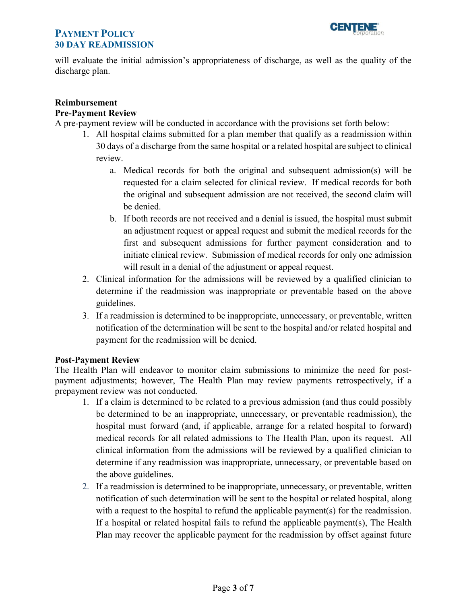

will evaluate the initial admission's appropriateness of discharge, as well as the quality of the discharge plan.

### **Reimbursement**

### **Pre-Payment Review**

A pre-payment review will be conducted in accordance with the provisions set forth below:

- 1. All hospital claims submitted for a plan member that qualify as a readmission within 30 days of a discharge from the same hospital or a related hospital are subject to clinical review.
	- a. Medical records for both the original and subsequent admission(s) will be requested for a claim selected for clinical review. If medical records for both the original and subsequent admission are not received, the second claim will be denied.
	- b. If both records are not received and a denial is issued, the hospital must submit an adjustment request or appeal request and submit the medical records for the first and subsequent admissions for further payment consideration and to initiate clinical review. Submission of medical records for only one admission will result in a denial of the adjustment or appeal request.
- 2. Clinical information for the admissions will be reviewed by a qualified clinician to determine if the readmission was inappropriate or preventable based on the above guidelines.
- 3. If a readmission is determined to be inappropriate, unnecessary, or preventable, written notification of the determination will be sent to the hospital and/or related hospital and payment for the readmission will be denied.

### **Post-Payment Review**

The Health Plan will endeavor to monitor claim submissions to minimize the need for postpayment adjustments; however, The Health Plan may review payments retrospectively, if a prepayment review was not conducted.

- 1. If a claim is determined to be related to a previous admission (and thus could possibly be determined to be an inappropriate, unnecessary, or preventable readmission), the hospital must forward (and, if applicable, arrange for a related hospital to forward) medical records for all related admissions to The Health Plan, upon its request. All clinical information from the admissions will be reviewed by a qualified clinician to determine if any readmission was inappropriate, unnecessary, or preventable based on the above guidelines.
- 2. If a readmission is determined to be inappropriate, unnecessary, or preventable, written notification of such determination will be sent to the hospital or related hospital, along with a request to the hospital to refund the applicable payment(s) for the readmission. If a hospital or related hospital fails to refund the applicable payment(s), The Health Plan may recover the applicable payment for the readmission by offset against future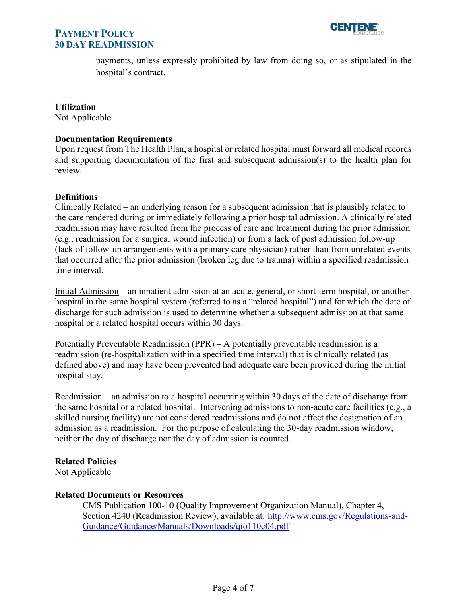



payments, unless expressly prohibited by law from doing so, or as stipulated in the hospital's contract.

#### **Utilization**

Not Applicable

#### **Documentation Requirements**

Upon request from The Health Plan, a hospital or related hospital must forward all medical records and supporting documentation of the first and subsequent admission(s) to the health plan for review.

#### **Definitions**

Clinically Related – an underlying reason for a subsequent admission that is plausibly related to the care rendered during or immediately following a prior hospital admission. A clinically related readmission may have resulted from the process of care and treatment during the prior admission (e.g., readmission for a surgical wound infection) or from a lack of post admission follow-up (lack of follow-up arrangements with a primary care physician) rather than from unrelated events that occurred after the prior admission (broken leg due to trauma) within a specified readmission time interval.

Initial Admission – an inpatient admission at an acute, general, or short-term hospital, or another hospital in the same hospital system (referred to as a "related hospital") and for which the date of discharge for such admission is used to determine whether a subsequent admission at that same hospital or a related hospital occurs within 30 days.

Potentially Preventable Readmission (PPR) – A potentially preventable readmission is a readmission (re-hospitalization within a specified time interval) that is clinically related (as defined above) and may have been prevented had adequate care been provided during the initial hospital stay.

Readmission – an admission to a hospital occurring within 30 days of the date of discharge from the same hospital or a related hospital. Intervening admissions to non-acute care facilities (e.g., a skilled nursing facility) are not considered readmissions and do not affect the designation of an admission as a readmission. For the purpose of calculating the 30-day readmission window, neither the day of discharge nor the day of admission is counted.

### **Related Policies**

Not Applicable

#### **Related Documents or Resources**

CMS Publication 100-10 (Quality Improvement Organization Manual), Chapter 4, Section 4240 (Readmission Review), available at: [http://www.cms.gov/Regulations-and-](http://www.cms.gov/Regulations-and-Guidance/Guidance/Manuals/Downloads/qio110c04.pdf)[Guidance/Guidance/Manuals/Downloads/qio110c04.pdf](http://www.cms.gov/Regulations-and-Guidance/Guidance/Manuals/Downloads/qio110c04.pdf)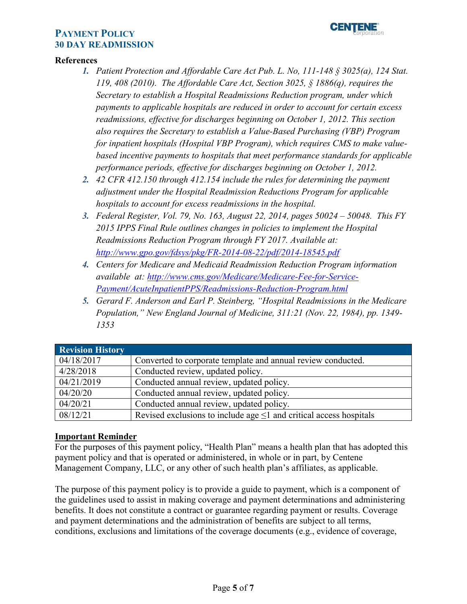

### <span id="page-4-0"></span>**References**

- *1. Patient Protection and Affordable Care Act Pub. L. No, 111-148 § 3025(a), 124 Stat. 119, 408 (2010). The Affordable Care Act, Section 3025, § 1886(q), requires the Secretary to establish a Hospital Readmissions Reduction program, under which payments to applicable hospitals are reduced in order to account for certain excess readmissions, effective for discharges beginning on October 1, 2012. This section also requires the Secretary to establish a Value-Based Purchasing (VBP) Program for inpatient hospitals (Hospital VBP Program), which requires CMS to make valuebased incentive payments to hospitals that meet performance standards for applicable performance periods, effective for discharges beginning on October 1, 2012.*
- *2. 42 CFR 412.150 through 412.154 include the rules for determining the payment adjustment under the Hospital Readmission Reductions Program for applicable hospitals to account for excess readmissions in the hospital.*
- *3. Federal Register, Vol. 79, No. 163, August 22, 2014, pages 50024 50048. This FY 2015 IPPS Final Rule outlines changes in policies to implement the Hospital Readmissions Reduction Program through FY 2017. Available at: <http://www.gpo.gov/fdsys/pkg/FR-2014-08-22/pdf/2014-18545.pdf>*
- *4. Centers for Medicare and Medicaid Readmission Reduction Program information available at: [http://www.cms.gov/Medicare/Medicare-Fee-for-Service-](http://www.cms.gov/Medicare/Medicare-Fee-for-Service-Payment/AcuteInpatientPPS/Readmissions-Reduction-Program.html)[Payment/AcuteInpatientPPS/Readmissions-Reduction-Program.html](http://www.cms.gov/Medicare/Medicare-Fee-for-Service-Payment/AcuteInpatientPPS/Readmissions-Reduction-Program.html)*
- *5. Gerard F. Anderson and Earl P. Steinberg, "Hospital Readmissions in the Medicare Population," New England Journal of Medicine, 311:21 (Nov. 22, 1984), pp. 1349- 1353*

| <b>Revision History</b> |                                                                          |
|-------------------------|--------------------------------------------------------------------------|
| 04/18/2017              | Converted to corporate template and annual review conducted.             |
| 4/28/2018               | Conducted review, updated policy.                                        |
| 04/21/2019              | Conducted annual review, updated policy.                                 |
| 04/20/20                | Conducted annual review, updated policy.                                 |
| 04/20/21                | Conducted annual review, updated policy.                                 |
| 08/12/21                | Revised exclusions to include age $\leq 1$ and critical access hospitals |

### **Important Reminder**

For the purposes of this payment policy, "Health Plan" means a health plan that has adopted this payment policy and that is operated or administered, in whole or in part, by Centene Management Company, LLC, or any other of such health plan's affiliates, as applicable.

The purpose of this payment policy is to provide a guide to payment, which is a component of the guidelines used to assist in making coverage and payment determinations and administering benefits. It does not constitute a contract or guarantee regarding payment or results. Coverage and payment determinations and the administration of benefits are subject to all terms, conditions, exclusions and limitations of the coverage documents (e.g., evidence of coverage,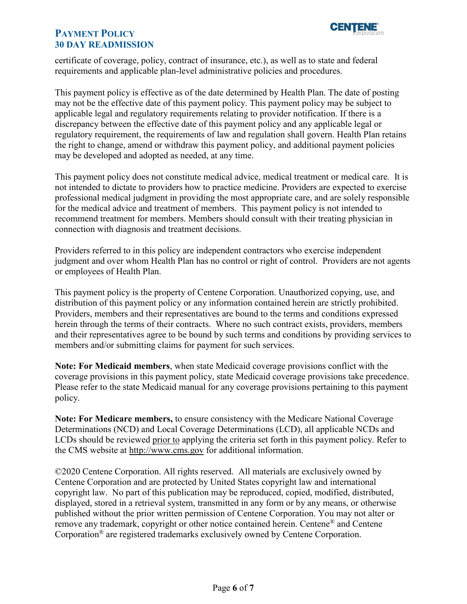

certificate of coverage, policy, contract of insurance, etc.), as well as to state and federal requirements and applicable plan-level administrative policies and procedures.

This payment policy is effective as of the date determined by Health Plan. The date of posting may not be the effective date of this payment policy. This payment policy may be subject to applicable legal and regulatory requirements relating to provider notification. If there is a discrepancy between the effective date of this payment policy and any applicable legal or regulatory requirement, the requirements of law and regulation shall govern. Health Plan retains the right to change, amend or withdraw this payment policy, and additional payment policies may be developed and adopted as needed, at any time.

This payment policy does not constitute medical advice, medical treatment or medical care. It is not intended to dictate to providers how to practice medicine. Providers are expected to exercise professional medical judgment in providing the most appropriate care, and are solely responsible for the medical advice and treatment of members. This payment policy is not intended to recommend treatment for members. Members should consult with their treating physician in connection with diagnosis and treatment decisions.

Providers referred to in this policy are independent contractors who exercise independent judgment and over whom Health Plan has no control or right of control. Providers are not agents or employees of Health Plan.

This payment policy is the property of Centene Corporation. Unauthorized copying, use, and distribution of this payment policy or any information contained herein are strictly prohibited. Providers, members and their representatives are bound to the terms and conditions expressed herein through the terms of their contracts. Where no such contract exists, providers, members and their representatives agree to be bound by such terms and conditions by providing services to members and/or submitting claims for payment for such services.

**Note: For Medicaid members**, when state Medicaid coverage provisions conflict with the coverage provisions in this payment policy, state Medicaid coverage provisions take precedence. Please refer to the state Medicaid manual for any coverage provisions pertaining to this payment policy.

**Note: For Medicare members,** to ensure consistency with the Medicare National Coverage Determinations (NCD) and Local Coverage Determinations (LCD), all applicable NCDs and LCDs should be reviewed prior to applying the criteria set forth in this payment policy. Refer to the CMS website at<http://www.cms.gov> for additional information.

©2020 Centene Corporation. All rights reserved. All materials are exclusively owned by Centene Corporation and are protected by United States copyright law and international copyright law. No part of this publication may be reproduced, copied, modified, distributed, displayed, stored in a retrieval system, transmitted in any form or by any means, or otherwise published without the prior written permission of Centene Corporation. You may not alter or remove any trademark, copyright or other notice contained herein. Centene<sup>®</sup> and Centene Corporation® are registered trademarks exclusively owned by Centene Corporation.